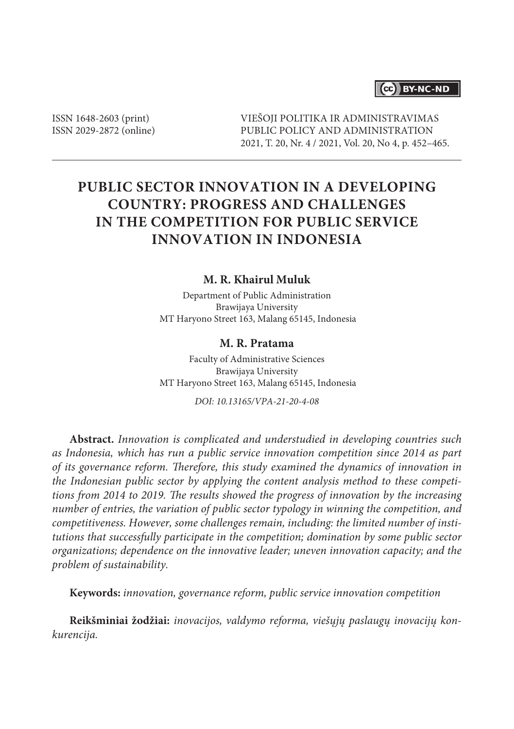## (cc) BY-NC-ND

ISSN 1648-2603 (print) ISSN 2029-2872 (online) VIEŠOJI POLITIKA IR ADMINISTRAVIMAS PUBLIC POLICY AND ADMINISTRATION 2021, T. 20, Nr. 4 / 2021, Vol. 20, No 4, p. 452–465.

# **PUBLIC SECTOR INNOVATION IN A DEVELOPING COUNTRY: PROGRESS AND CHALLENGES IN THE COMPETITION FOR PUBLIC SERVICE INNOVATION IN INDONESIA**

### **M. R. Khairul Muluk**

Department of Public Administration Brawijaya University MT Haryono Street 163, Malang 65145, Indonesia

#### **M. R. Pratama**

Faculty of Administrative Sciences Brawijaya University MT Haryono Street 163, Malang 65145, Indonesia

*DOI: 10.13165/VPA-21-20-4-08*

**Abstract.** *Innovation is complicated and understudied in developing countries such as Indonesia, which has run a public service innovation competition since 2014 as part of its governance reform. Therefore, this study examined the dynamics of innovation in the Indonesian public sector by applying the content analysis method to these competitions from 2014 to 2019. The results showed the progress of innovation by the increasing number of entries, the variation of public sector typology in winning the competition, and competitiveness. However, some challenges remain, including: the limited number of institutions that successfully participate in the competition; domination by some public sector organizations; dependence on the innovative leader; uneven innovation capacity; and the problem of sustainability.* 

**Keywords:** *innovation, governance reform, public service innovation competition*

**Reikšminiai žodžiai:** *inovacijos, valdymo reforma, viešųjų paslaugų inovacijų konkurencija.*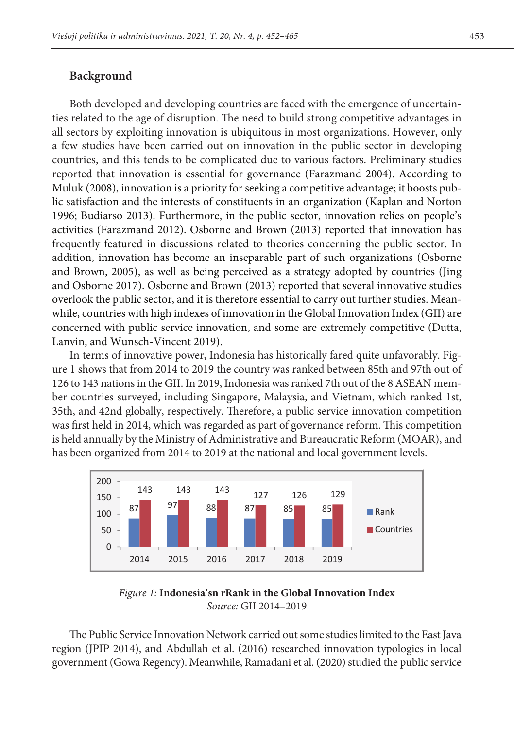#### **Background**

Both developed and developing countries are faced with the emergence of uncertain-<br> $\Box$ ties related to the age of disruption. The need to build strong competitive advantages in all sectors by exploiting innovation is ubiquitous in most organizations. However, only a few studies have been carried out on innovation in the public sector in developing countries, and this tends to be complicated due to various factors. Preliminary studies reported that innovation is essential for governance (Farazmand 2004). According to Muluk (2008), innovation is a priority for seeking a competitive advantage; it boosts public satisfaction and the interests of constituents in an organization (Kaplan and Norton 1996; Budiarso 2013). Furthermore, in the public sector, innovation relies on people's activities (Farazmand 2012). Osborne and Brown (2013) reported that innovation has frequently featured in discussions related to theories concerning the public sector. In addition, innovation has become an inseparable part of such organizations (Osborne and Brown, 2005), as well as being perceived as a strategy adopted by countries (Jing and Osborne 2017). Osborne and Brown (2013) reported that several innovative studies and Osborne 2017). Osborne and Brown (2013) reported that several innovative studies overlook the public sector, and it is therefore essential to carry out further studies. Meanwhile, countries with high indexes of innovation in the Global Innovation Index (GII) are concerned with public service innovation, and some are extremely competitive (Dutta, Lanvin, and Wunsch-Vincent 2019).

In terms of innovative power, Indonesia has historically fared quite unfavorably. Figure 1 shows that from 2014 to 2019 the country was ranked between 85th and 97th out of 126 to 143 nations in the GII. In 2019, Indonesia was ranked 7th out of the 8 ASEAN member countries surveyed, including Singapore, Malaysia, and Vietnam, which ranked 1st, 35th, and 42nd globally, respectively. Therefore, a public service innovation competition was first held in 2014, which was regarded as part of governance reform. This competition is held annually by the Ministry of Administrative and Bureaucratic Reform (MOAR), and has been organized from 2014 to 2019 at the national and local government levels.





The Public Service Innovation Network carried out some studies limited to the East Java region (JPIP 2014), and Abdullah et al. (2016) researched innovation typologies in local government (Gowa Regency). Meanwhile, Ramadani et al. (2020) studied the public service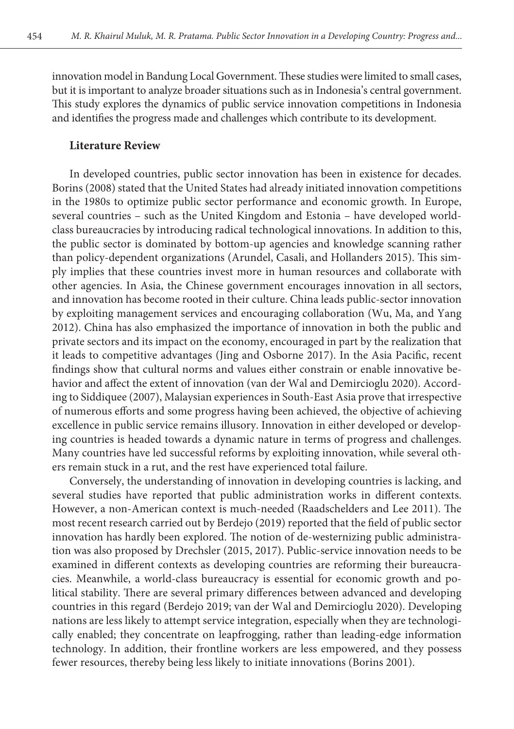innovation model in Bandung Local Government. These studies were limited to small cases, but it is important to analyze broader situations such as in Indonesia's central government. This study explores the dynamics of public service innovation competitions in Indonesia and identifies the progress made and challenges which contribute to its development.

#### **Literature Review**

In developed countries, public sector innovation has been in existence for decades. Borins (2008) stated that the United States had already initiated innovation competitions in the 1980s to optimize public sector performance and economic growth. In Europe, several countries – such as the United Kingdom and Estonia – have developed worldclass bureaucracies by introducing radical technological innovations. In addition to this, the public sector is dominated by bottom-up agencies and knowledge scanning rather than policy-dependent organizations (Arundel, Casali, and Hollanders 2015). This simply implies that these countries invest more in human resources and collaborate with other agencies. In Asia, the Chinese government encourages innovation in all sectors, and innovation has become rooted in their culture. China leads public-sector innovation by exploiting management services and encouraging collaboration (Wu, Ma, and Yang 2012). China has also emphasized the importance of innovation in both the public and private sectors and its impact on the economy, encouraged in part by the realization that it leads to competitive advantages (Jing and Osborne 2017). In the Asia Pacific, recent findings show that cultural norms and values either constrain or enable innovative behavior and affect the extent of innovation (van der Wal and Demircioglu 2020). According to Siddiquee (2007), Malaysian experiences in South-East Asia prove that irrespective of numerous efforts and some progress having been achieved, the objective of achieving excellence in public service remains illusory. Innovation in either developed or developing countries is headed towards a dynamic nature in terms of progress and challenges. Many countries have led successful reforms by exploiting innovation, while several others remain stuck in a rut, and the rest have experienced total failure.

Conversely, the understanding of innovation in developing countries is lacking, and several studies have reported that public administration works in different contexts. However, a non-American context is much-needed (Raadschelders and Lee 2011). The most recent research carried out by Berdejo (2019) reported that the field of public sector innovation has hardly been explored. The notion of de-westernizing public administration was also proposed by Drechsler (2015, 2017). Public-service innovation needs to be examined in different contexts as developing countries are reforming their bureaucracies. Meanwhile, a world-class bureaucracy is essential for economic growth and political stability. There are several primary differences between advanced and developing countries in this regard (Berdejo 2019; van der Wal and Demircioglu 2020). Developing nations are less likely to attempt service integration, especially when they are technologically enabled; they concentrate on leapfrogging, rather than leading-edge information technology. In addition, their frontline workers are less empowered, and they possess fewer resources, thereby being less likely to initiate innovations (Borins 2001).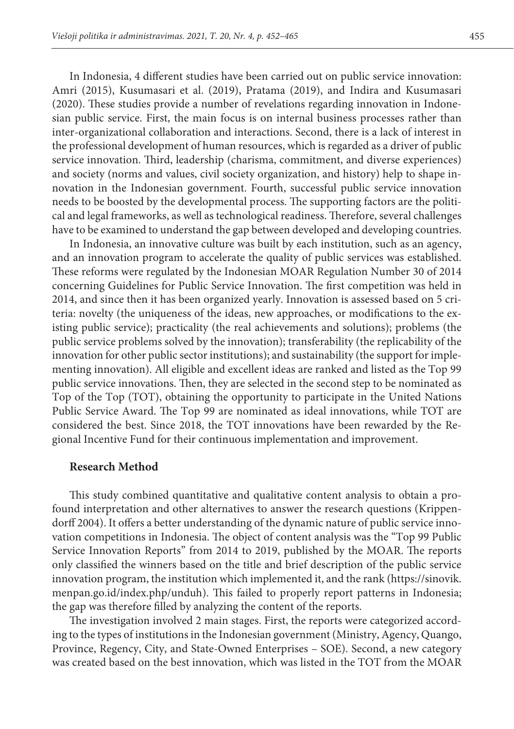In Indonesia, 4 different studies have been carried out on public service innovation: Amri (2015), Kusumasari et al. (2019), Pratama (2019), and Indira and Kusumasari (2020). These studies provide a number of revelations regarding innovation in Indonesian public service. First, the main focus is on internal business processes rather than inter-organizational collaboration and interactions. Second, there is a lack of interest in the professional development of human resources, which is regarded as a driver of public service innovation. Third, leadership (charisma, commitment, and diverse experiences) and society (norms and values, civil society organization, and history) help to shape innovation in the Indonesian government. Fourth, successful public service innovation needs to be boosted by the developmental process. The supporting factors are the political and legal frameworks, as well as technological readiness. Therefore, several challenges have to be examined to understand the gap between developed and developing countries.

In Indonesia, an innovative culture was built by each institution, such as an agency, and an innovation program to accelerate the quality of public services was established. These reforms were regulated by the Indonesian MOAR Regulation Number 30 of 2014 concerning Guidelines for Public Service Innovation. The first competition was held in 2014, and since then it has been organized yearly. Innovation is assessed based on 5 criteria: novelty (the uniqueness of the ideas, new approaches, or modifications to the existing public service); practicality (the real achievements and solutions); problems (the public service problems solved by the innovation); transferability (the replicability of the innovation for other public sector institutions); and sustainability (the support for implementing innovation). All eligible and excellent ideas are ranked and listed as the Top 99 public service innovations. Then, they are selected in the second step to be nominated as Top of the Top (TOT), obtaining the opportunity to participate in the United Nations Public Service Award. The Top 99 are nominated as ideal innovations, while TOT are considered the best. Since 2018, the TOT innovations have been rewarded by the Regional Incentive Fund for their continuous implementation and improvement.

#### **Research Method**

This study combined quantitative and qualitative content analysis to obtain a profound interpretation and other alternatives to answer the research questions (Krippendorff 2004). It offers a better understanding of the dynamic nature of public service innovation competitions in Indonesia. The object of content analysis was the "Top 99 Public Service Innovation Reports" from 2014 to 2019, published by the MOAR. The reports only classified the winners based on the title and brief description of the public service innovation program, the institution which implemented it, and the rank [\(https://sinovik.](https://sinovik.menpan.go.id/index.php/unduh) [menpan.go.id/index.php/unduh](https://sinovik.menpan.go.id/index.php/unduh)). This failed to properly report patterns in Indonesia; the gap was therefore filled by analyzing the content of the reports.

The investigation involved 2 main stages. First, the reports were categorized according to the types of institutions in the Indonesian government (Ministry, Agency, Quango, Province, Regency, City, and State-Owned Enterprises – SOE). Second, a new category was created based on the best innovation, which was listed in the TOT from the MOAR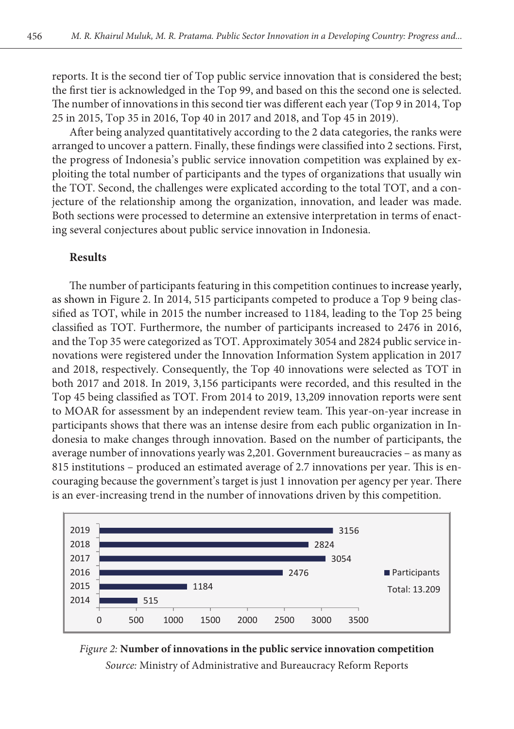reports. It is the second tier of Top public service innovation that is considered the best; the first tier is acknowledged in the Top 99, and based on this the second one is selected. The number of innovations in this second tier was different each year (Top 9 in 2014, Top 25 in 2015, Top 35 in 2016, Top 40 in 2017 and 2018, and Top 45 in 2019).

After being analyzed quantitatively according to the 2 data categories, the ranks were arranged to uncover a pattern. Finally, these findings were classified into 2 sections. First, the progress of Indonesia's public service innovation competition was explained by exploiting the total number of participants and the types of organizations that usually win the TOT. Second, the challenges were explicated according to the total TOT, and a conjecture of the relationship among the organization, innovation, and leader was made. Both sections were processed to determine an extensive interpretation in terms of enacting several conjectures about public service innovation in Indonesia.

#### **Results**

The number of participants featuring in this competition continues to increase yearly, as shown in Figure 2. In 2014, 515 participants competed to produce a Top 9 being classified as TOT, while in 2015 the number increased to 1184, leading to the Top 25 being classified as TOT. Furthermore, the number of participants increased to 2476 in 2016, and the Top 35 were categorized as TOT. Approximately 3054 and 2824 public service innovations were registered under the Innovation Information System application in 2017 and 2018, respectively. Consequently, the Top 40 innovations were selected as TOT in both 2017 and 2018. In 2019, 3,156 participants were recorded, and this resulted in the Top 45 being classified as TOT. From 2014 to 2019, 13,209 innovation reports were sent to MOAR for assessment by an independent review team. This year-on-year increase in participants shows that there was an intense desire from each public organization in Indonesia to make changes through innovation. Based on the number of participants, the average number of innovations yearly was 2,201. Government bureaucracies – as many as 815 institutions – produced an estimated average of 2.7 innovations per year. This is encouraging because the government's target is just 1 innovation per agency per year. There is an ever-increasing trend in the number of innovations driven by this competition.



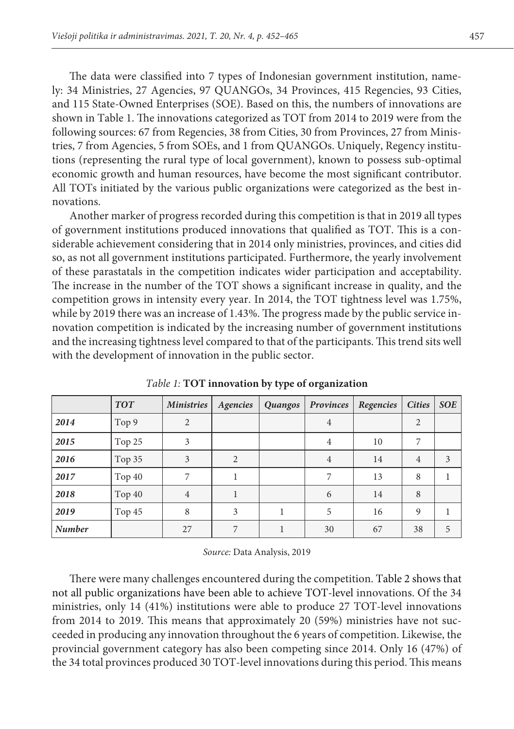The data were classified into 7 types of Indonesian government institution, namely: 34 Ministries, 27 Agencies, 97 QUANGOs, 34 Provinces, 415 Regencies, 93 Cities, and 115 State-Owned Enterprises (SOE). Based on this, the numbers of innovations are shown in Table 1. The innovations categorized as TOT from 2014 to 2019 were from the following sources: 67 from Regencies, 38 from Cities, 30 from Provinces, 27 from Ministries, 7 from Agencies, 5 from SOEs, and 1 from QUANGOs. Uniquely, Regency institutions (representing the rural type of local government), known to possess sub-optimal economic growth and human resources, have become the most significant contributor. All TOTs initiated by the various public organizations were categorized as the best innovations.

Another marker of progress recorded during this competition is that in 2019 all types of government institutions produced innovations that qualified as TOT. This is a considerable achievement considering that in 2014 only ministries, provinces, and cities did so, as not all government institutions participated. Furthermore, the yearly involvement of these parastatals in the competition indicates wider participation and acceptability. The increase in the number of the TOT shows a significant increase in quality, and the competition grows in intensity every year. In 2014, the TOT tightness level was 1.75%, while by 2019 there was an increase of 1.43%. The progress made by the public service innovation competition is indicated by the increasing number of government institutions and the increasing tightness level compared to that of the participants. This trend sits well with the development of innovation in the public sector.

|               | <b>TOT</b> | <b>Ministries</b> | Agencies       | Quangos | Provinces      | Regencies | <b>Cities</b>  | <b>SOE</b> |
|---------------|------------|-------------------|----------------|---------|----------------|-----------|----------------|------------|
| 2014          | Top 9      | 2                 |                |         | $\overline{4}$ |           | $\overline{2}$ |            |
| 2015          | Top 25     | 3                 |                |         | 4              | 10        | 7              |            |
| 2016          | Top 35     | 3                 | $\overline{2}$ |         | $\overline{4}$ | 14        | $\overline{4}$ | 3          |
| 2017          | Top 40     | 7                 |                |         | 7              | 13        | 8              |            |
| 2018          | Top 40     | $\overline{4}$    |                |         | 6              | 14        | 8              |            |
| 2019          | Top 45     | 8                 | 3              |         | 5              | 16        | 9              |            |
| <b>Number</b> |            | 27                |                |         | 30             | 67        | 38             | 5          |

*Table 1:* **TOT innovation by type of organization**

*Source:* Data Analysis, 2019

There were many challenges encountered during the competition. Table 2 shows that not all public organizations have been able to achieve TOT-level innovations. Of the 34 ministries, only 14 (41%) institutions were able to produce 27 TOT-level innovations from 2014 to 2019. This means that approximately 20 (59%) ministries have not succeeded in producing any innovation throughout the 6 years of competition. Likewise, the provincial government category has also been competing since 2014. Only 16 (47%) of the 34 total provinces produced 30 TOT-level innovations during this period. This means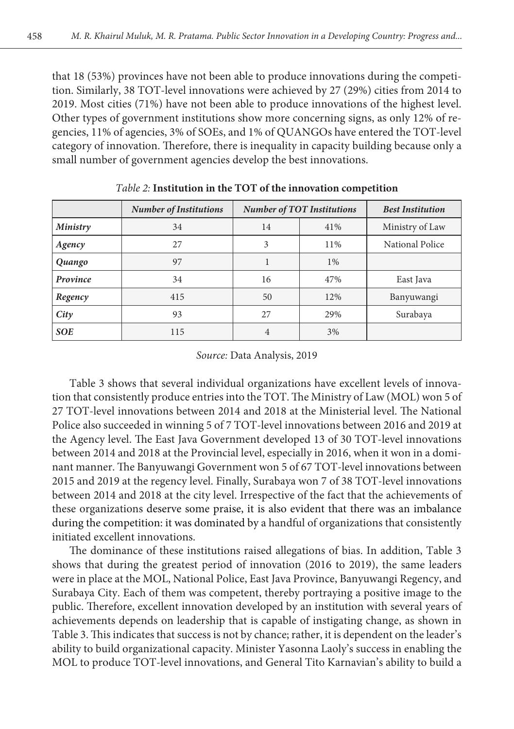that 18 (53%) provinces have not been able to produce innovations during the competition. Similarly, 38 TOT-level innovations were achieved by 27 (29%) cities from 2014 to 2019. Most cities (71%) have not been able to produce innovations of the highest level. Other types of government institutions show more concerning signs, as only 12% of regencies, 11% of agencies, 3% of SOEs, and 1% of QUANGOs have entered the TOT-level category of innovation. Therefore, there is inequality in capacity building because only a small number of government agencies develop the best innovations.

|                 | <b>Number of Institutions</b> | <b>Number of TOT Institutions</b> |       | <b>Best Institution</b> |  |
|-----------------|-------------------------------|-----------------------------------|-------|-------------------------|--|
| <b>Ministry</b> | 34                            | 14                                | 41%   | Ministry of Law         |  |
| Agency          | 27                            | 3                                 | 11%   | National Police         |  |
| Quango          | 97                            |                                   | $1\%$ |                         |  |
| Province        | 34                            | 16                                | 47%   | East Java               |  |
| Regency         | 415                           | 50                                | 12%   | Banyuwangi              |  |
| City            | 93                            | 27                                | 29%   | Surabaya                |  |
| <b>SOE</b>      | 115                           |                                   | 3%    |                         |  |

*Table 2:* **Institution in the TOT of the innovation competition**

#### *Source:* Data Analysis, 2019

Table 3 shows that several individual organizations have excellent levels of innovation that consistently produce entries into the TOT. The Ministry of Law (MOL) won 5 of 27 TOT-level innovations between 2014 and 2018 at the Ministerial level. The National Police also succeeded in winning 5 of 7 TOT-level innovations between 2016 and 2019 at the Agency level. The East Java Government developed 13 of 30 TOT-level innovations between 2014 and 2018 at the Provincial level, especially in 2016, when it won in a dominant manner. The Banyuwangi Government won 5 of 67 TOT-level innovations between 2015 and 2019 at the regency level. Finally, Surabaya won 7 of 38 TOT-level innovations between 2014 and 2018 at the city level. Irrespective of the fact that the achievements of these organizations deserve some praise, it is also evident that there was an imbalance during the competition: it was dominated by a handful of organizations that consistently initiated excellent innovations.

The dominance of these institutions raised allegations of bias. In addition, Table 3 shows that during the greatest period of innovation (2016 to 2019), the same leaders were in place at the MOL, National Police, East Java Province, Banyuwangi Regency, and Surabaya City. Each of them was competent, thereby portraying a positive image to the public. Therefore, excellent innovation developed by an institution with several years of achievements depends on leadership that is capable of instigating change, as shown in Table 3. This indicates that success is not by chance; rather, it is dependent on the leader's ability to build organizational capacity. Minister Yasonna Laoly's success in enabling the MOL to produce TOT-level innovations, and General Tito Karnavian's ability to build a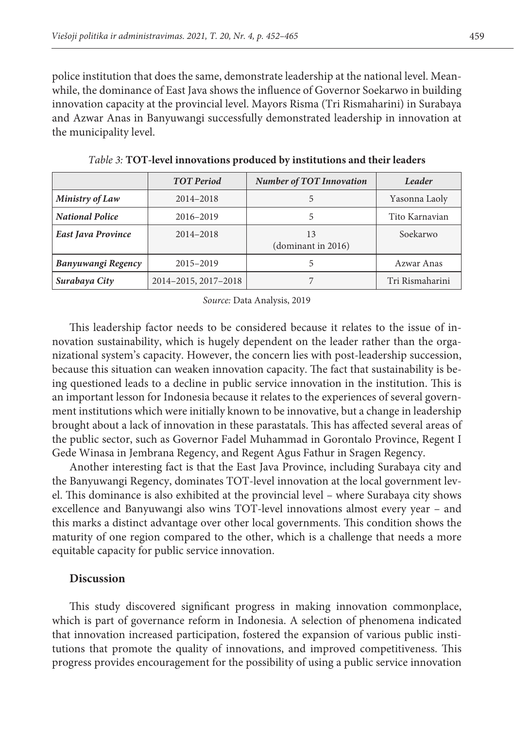police institution that does the same, demonstrate leadership at the national level. Meanwhile, the dominance of East Java shows the influence of Governor Soekarwo in building innovation capacity at the provincial level. Mayors Risma (Tri Rismaharini) in Surabaya and Azwar Anas in Banyuwangi successfully demonstrated leadership in innovation at the municipality level.

|                                       | <b>TOT</b> Period | <b>Number of TOT Innovation</b> | Leader          |
|---------------------------------------|-------------------|---------------------------------|-----------------|
| Ministry of Law                       | 2014-2018         |                                 | Yasonna Laoly   |
| National Police                       | 2016-2019         |                                 | Tito Karnavian  |
| East Java Province                    | 2014-2018         | (dominant in 2016)              | Soekarwo        |
| Banyuwangi Regency                    | 2015-2019         |                                 | Azwar Anas      |
| 2014-2015, 2017-2018<br>Surabaya City |                   |                                 | Tri Rismaharini |

*Table 3:* **TOT-level innovations produced by institutions and their leaders**

*Source:* Data Analysis, 2019

This leadership factor needs to be considered because it relates to the issue of innovation sustainability, which is hugely dependent on the leader rather than the organizational system's capacity. However, the concern lies with post-leadership succession, because this situation can weaken innovation capacity. The fact that sustainability is being questioned leads to a decline in public service innovation in the institution. This is an important lesson for Indonesia because it relates to the experiences of several government institutions which were initially known to be innovative, but a change in leadership brought about a lack of innovation in these parastatals. This has affected several areas of the public sector, such as Governor Fadel Muhammad in Gorontalo Province, Regent I Gede Winasa in Jembrana Regency, and Regent Agus Fathur in Sragen Regency.

Another interesting fact is that the East Java Province, including Surabaya city and the Banyuwangi Regency, dominates TOT-level innovation at the local government level. This dominance is also exhibited at the provincial level – where Surabaya city shows excellence and Banyuwangi also wins TOT-level innovations almost every year – and this marks a distinct advantage over other local governments. This condition shows the maturity of one region compared to the other, which is a challenge that needs a more equitable capacity for public service innovation.

#### **Discussion**

This study discovered significant progress in making innovation commonplace, which is part of governance reform in Indonesia. A selection of phenomena indicated that innovation increased participation, fostered the expansion of various public institutions that promote the quality of innovations, and improved competitiveness. This progress provides encouragement for the possibility of using a public service innovation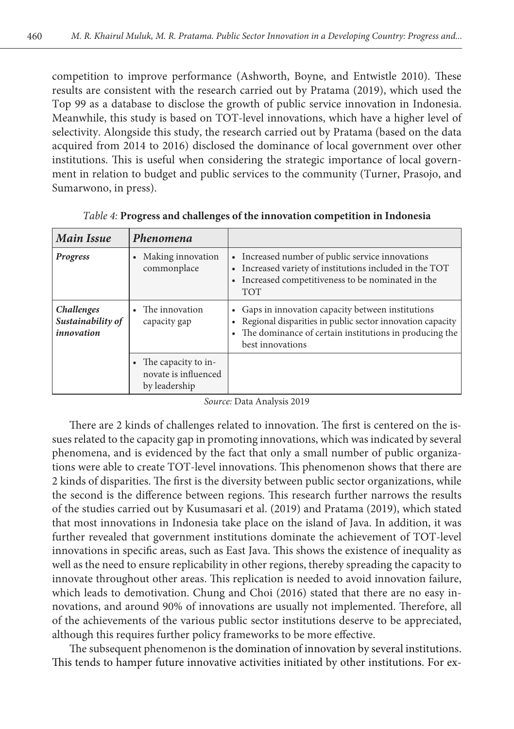competition to improve performance (Ashworth, Boyne, and Entwistle 2010). These results are consistent with the research carried out by Pratama (2019), which used the Top 99 as a database to disclose the growth of public service innovation in Indonesia. Meanwhile, this study is based on TOT-level innovations, which have a higher level of selectivity. Alongside this study, the research carried out by Pratama (based on the data acquired from 2014 to 2016) disclosed the dominance of local government over other institutions. This is useful when considering the strategic importance of local government in relation to budget and public services to the community (Turner, Prasojo, and Sumarwono, in press).

| <b>Main Issue</b>                                    | Phenomena                                                    |                                                                                                                                                                                             |
|------------------------------------------------------|--------------------------------------------------------------|---------------------------------------------------------------------------------------------------------------------------------------------------------------------------------------------|
| Progress                                             | Making innovation<br>commonplace                             | Increased number of public service innovations<br>Increased variety of institutions included in the TOT<br>Increased competitiveness to be nominated in the<br><b>TOT</b>                   |
| <b>Challenges</b><br>Sustainability of<br>innovation | The innovation<br>capacity gap                               | Gaps in innovation capacity between institutions<br>Regional disparities in public sector innovation capacity<br>The dominance of certain institutions in producing the<br>best innovations |
|                                                      | The capacity to in-<br>novate is influenced<br>by leadership |                                                                                                                                                                                             |

*Table 4:* **Progress and challenges of the innovation competition in Indonesia**

*Source:* Data Analysis 2019

There are 2 kinds of challenges related to innovation. The first is centered on the issues related to the capacity gap in promoting innovations, which was indicated by several phenomena, and is evidenced by the fact that only a small number of public organizations were able to create TOT-level innovations. This phenomenon shows that there are 2 kinds of disparities. The first is the diversity between public sector organizations, while the second is the difference between regions. This research further narrows the results of the studies carried out by Kusumasari et al. (2019) and Pratama (2019), which stated that most innovations in Indonesia take place on the island of Java. In addition, it was further revealed that government institutions dominate the achievement of TOT-level innovations in specific areas, such as East Java. This shows the existence of inequality as well as the need to ensure replicability in other regions, thereby spreading the capacity to innovate throughout other areas. This replication is needed to avoid innovation failure, which leads to demotivation. Chung and Choi (2016) stated that there are no easy innovations, and around 90% of innovations are usually not implemented. Therefore, all of the achievements of the various public sector institutions deserve to be appreciated, although this requires further policy frameworks to be more effective.

The subsequent phenomenon is the domination of innovation by several institutions. This tends to hamper future innovative activities initiated by other institutions. For ex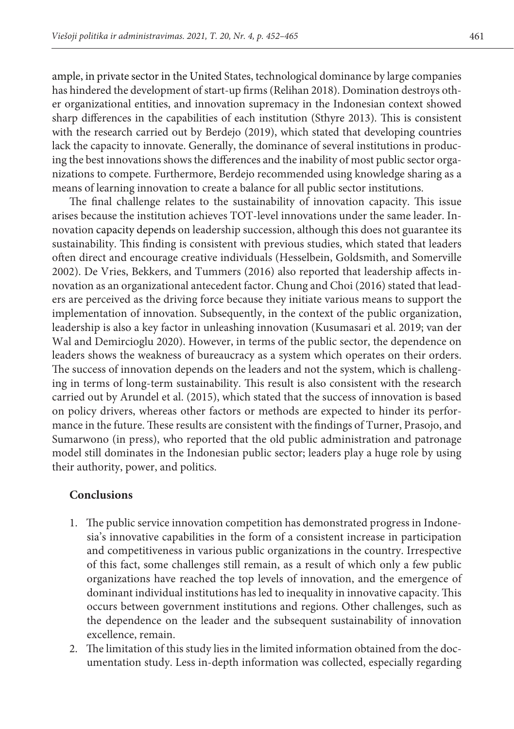ample, in private sector in the United States, technological dominance by large companies has hindered the development of start-up firms (Relihan 2018). Domination destroys other organizational entities, and innovation supremacy in the Indonesian context showed sharp differences in the capabilities of each institution (Sthyre 2013). This is consistent with the research carried out by Berdejo (2019), which stated that developing countries lack the capacity to innovate. Generally, the dominance of several institutions in producing the best innovations shows the differences and the inability of most public sector organizations to compete. Furthermore, Berdejo recommended using knowledge sharing as a means of learning innovation to create a balance for all public sector institutions.

The final challenge relates to the sustainability of innovation capacity. This issue arises because the institution achieves TOT-level innovations under the same leader. Innovation capacity depends on leadership succession, although this does not guarantee its sustainability. This finding is consistent with previous studies, which stated that leaders often direct and encourage creative individuals (Hesselbein, Goldsmith, and Somerville 2002). De Vries, Bekkers, and Tummers (2016) also reported that leadership affects innovation as an organizational antecedent factor. Chung and Choi (2016) stated that leaders are perceived as the driving force because they initiate various means to support the implementation of innovation. Subsequently, in the context of the public organization, leadership is also a key factor in unleashing innovation (Kusumasari et al. 2019; van der Wal and Demircioglu 2020). However, in terms of the public sector, the dependence on leaders shows the weakness of bureaucracy as a system which operates on their orders. The success of innovation depends on the leaders and not the system, which is challenging in terms of long-term sustainability. This result is also consistent with the research carried out by Arundel et al. (2015), which stated that the success of innovation is based on policy drivers, whereas other factors or methods are expected to hinder its performance in the future. These results are consistent with the findings of Turner, Prasojo, and Sumarwono (in press), who reported that the old public administration and patronage model still dominates in the Indonesian public sector; leaders play a huge role by using their authority, power, and politics.

## **Conclusions**

- 1. The public service innovation competition has demonstrated progress in Indonesia's innovative capabilities in the form of a consistent increase in participation and competitiveness in various public organizations in the country. Irrespective of this fact, some challenges still remain, as a result of which only a few public organizations have reached the top levels of innovation, and the emergence of dominant individual institutions has led to inequality in innovative capacity. This occurs between government institutions and regions. Other challenges, such as the dependence on the leader and the subsequent sustainability of innovation excellence, remain.
- 2. The limitation of this study lies in the limited information obtained from the documentation study. Less in-depth information was collected, especially regarding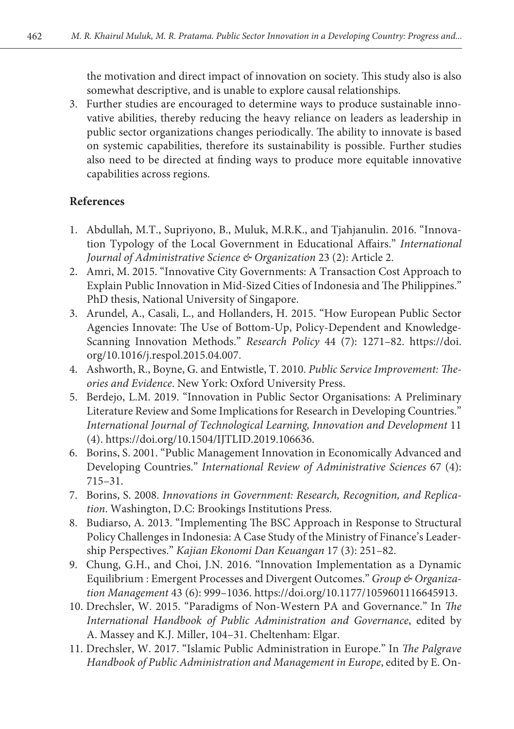the motivation and direct impact of innovation on society. This study also is also somewhat descriptive, and is unable to explore causal relationships.

3. Further studies are encouraged to determine ways to produce sustainable innovative abilities, thereby reducing the heavy reliance on leaders as leadership in public sector organizations changes periodically. The ability to innovate is based on systemic capabilities, therefore its sustainability is possible. Further studies also need to be directed at finding ways to produce more equitable innovative capabilities across regions.

### **References**

- 1. Abdullah, M.T., Supriyono, B., Muluk, M.R.K., and Tjahjanulin. 2016. "Innovation Typology of the Local Government in Educational Affairs." *International Journal of Administrative Science & Organization* 23 (2): Article 2.
- 2. Amri, M. 2015. "Innovative City Governments: A Transaction Cost Approach to Explain Public Innovation in Mid-Sized Cities of Indonesia and The Philippines." PhD thesis, National University of Singapore.
- 3. Arundel, A., Casali, L., and Hollanders, H. 2015. "How European Public Sector Agencies Innovate: The Use of Bottom-Up, Policy-Dependent and Knowledge-Scanning Innovation Methods." *Research Policy* 44 (7): 1271–82. https://doi. org/10.1016/j.respol.2015.04.007.
- 4. Ashworth, R., Boyne, G. and Entwistle, T. 2010. *Public Service Improvement: Theories and Evidence*. New York: Oxford University Press.
- 5. Berdejo, L.M. 2019. "Innovation in Public Sector Organisations: A Preliminary Literature Review and Some Implications for Research in Developing Countries." *International Journal of Technological Learning, Innovation and Development* 11 (4). https://doi.org/10.1504/IJTLID.2019.106636.
- 6. Borins, S. 2001. "Public Management Innovation in Economically Advanced and Developing Countries." *International Review of Administrative Sciences* 67 (4): 715–31.
- 7. Borins, S. 2008. *Innovations in Government: Research, Recognition, and Replication*. Washington, D.C: Brookings Institutions Press.
- 8. Budiarso, A. 2013. "Implementing The BSC Approach in Response to Structural Policy Challenges in Indonesia: A Case Study of the Ministry of Finance's Leadership Perspectives." *Kajian Ekonomi Dan Keuangan* 17 (3): 251–82.
- 9. Chung, G.H., and Choi, J.N. 2016. "Innovation Implementation as a Dynamic Equilibrium : Emergent Processes and Divergent Outcomes." *Group & Organization Management* 43 (6): 999–1036. https://doi.org/10.1177/1059601116645913.
- 10. Drechsler, W. 2015. "Paradigms of Non-Western PA and Governance." In *The International Handbook of Public Administration and Governance*, edited by A. Massey and K.J. Miller, 104–31. Cheltenham: Elgar.
- 11. Drechsler, W. 2017. "Islamic Public Administration in Europe." In *The Palgrave Handbook of Public Administration and Management in Europe*, edited by E. On-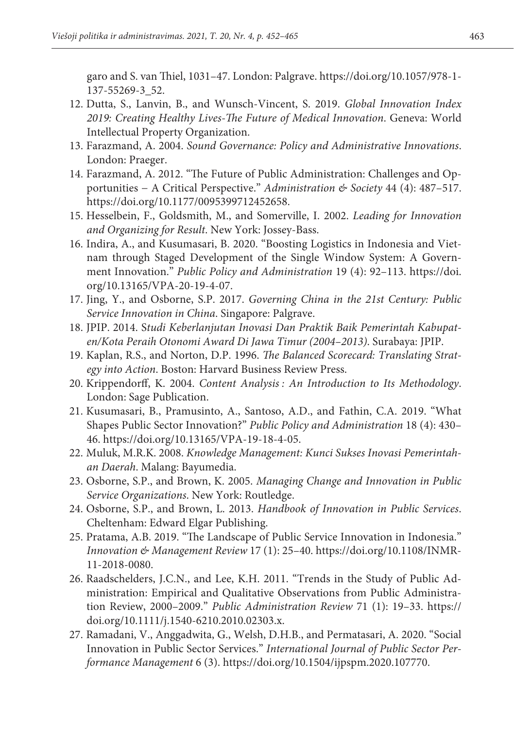garo and S. van Thiel, 1031–47. London: Palgrave. https://doi.org/10.1057/978-1- 137-55269-3\_52.

- 12. Dutta, S., Lanvin, B., and Wunsch-Vincent, S. 2019. *Global Innovation Index 2019: Creating Healthy Lives-The Future of Medical Innovation*. Geneva: World Intellectual Property Organization.
- 13. Farazmand, A. 2004. *Sound Governance: Policy and Administrative Innovations*. London: Praeger.
- 14. Farazmand, A. 2012. "The Future of Public Administration: Challenges and Opportunities − A Critical Perspective." *Administration & Society* 44 (4): 487–517. https://doi.org/10.1177/0095399712452658.
- 15. Hesselbein, F., Goldsmith, M., and Somerville, I. 2002. *Leading for Innovation and Organizing for Result*. New York: Jossey-Bass.
- 16. Indira, A., and Kusumasari, B. 2020. "Boosting Logistics in Indonesia and Vietnam through Staged Development of the Single Window System: A Government Innovation." *Public Policy and Administration* 19 (4): 92–113. https://doi. org/10.13165/VPA-20-19-4-07.
- 17. Jing, Y., and Osborne, S.P. 2017. *Governing China in the 21st Century: Public Service Innovation in China*. Singapore: Palgrave.
- 18. JPIP. 2014. S*tudi Keberlanjutan Inovasi Dan Praktik Baik Pemerintah Kabupaten/Kota Peraih Otonomi Award Di Jawa Timur (2004–2013)*. Surabaya: JPIP.
- 19. Kaplan, R.S., and Norton, D.P. 1996. *The Balanced Scorecard: Translating Strategy into Action*. Boston: Harvard Business Review Press.
- 20. Krippendorff, K. 2004. *Content Analysis : An Introduction to Its Methodology*. London: Sage Publication.
- 21. Kusumasari, B., Pramusinto, A., Santoso, A.D., and Fathin, C.A. 2019. "What Shapes Public Sector Innovation?" *Public Policy and Administration* 18 (4): 430– 46. https://doi.org/10.13165/VPA-19-18-4-05.
- 22. Muluk, M.R.K. 2008. *Knowledge Management: Kunci Sukses Inovasi Pemerintahan Daerah*. Malang: Bayumedia.
- 23. Osborne, S.P., and Brown, K. 2005. *Managing Change and Innovation in Public Service Organizations*. New York: Routledge.
- 24. Osborne, S.P., and Brown, L. 2013. *Handbook of Innovation in Public Services*. Cheltenham: Edward Elgar Publishing.
- 25. Pratama, A.B. 2019. "The Landscape of Public Service Innovation in Indonesia." *Innovation & Management Review* 17 (1): 25–40. https://doi.org/10.1108/INMR-11-2018-0080.
- 26. Raadschelders, J.C.N., and Lee, K.H. 2011. "Trends in the Study of Public Administration: Empirical and Qualitative Observations from Public Administration Review, 2000–2009." *Public Administration Review* 71 (1): 19–33. https:// doi.org/10.1111/j.1540-6210.2010.02303.x.
- 27. Ramadani, V., Anggadwita, G., Welsh, D.H.B., and Permatasari, A. 2020. "Social Innovation in Public Sector Services." *International Journal of Public Sector Performance Management* 6 (3). https://doi.org/10.1504/ijpspm.2020.107770.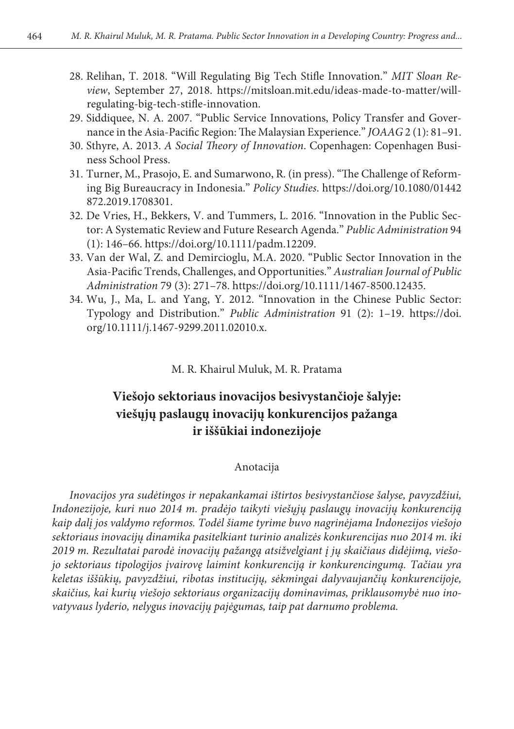- 28. Relihan, T. 2018. "Will Regulating Big Tech Stifle Innovation." *MIT Sloan Review*, September 27, 2018. https://mitsloan.mit.edu/ideas-made-to-matter/willregulating-big-tech-stifle-innovation.
- 29. Siddiquee, N. A. 2007. "Public Service Innovations, Policy Transfer and Governance in the Asia-Pacific Region: The Malaysian Experience." *JOAAG* 2 (1): 81–91.
- 30. Sthyre, A. 2013. *A Social Theory of Innovation*. Copenhagen: Copenhagen Business School Press.
- 31. Turner, M., Prasojo, E. and Sumarwono, R. (in press). "The Challenge of Reforming Big Bureaucracy in Indonesia." *Policy Studies*. https://doi.org/10.1080/01442 872.2019.1708301.
- 32. De Vries, H., Bekkers, V. and Tummers, L. 2016. "Innovation in the Public Sector: A Systematic Review and Future Research Agenda." *Public Administration* 94 (1): 146–66. https://doi.org/10.1111/padm.12209.
- 33. Van der Wal, Z. and Demircioglu, M.A. 2020. "Public Sector Innovation in the Asia-Pacific Trends, Challenges, and Opportunities." *Australian Journal of Public Administration* 79 (3): 271–78. https://doi.org/10.1111/1467-8500.12435.
- 34. Wu, J., Ma, L. and Yang, Y. 2012. "Innovation in the Chinese Public Sector: Typology and Distribution." *Public Administration* 91 (2): 1–19. https://doi. org/10.1111/j.1467-9299.2011.02010.x.

M. R. Khairul Muluk, M. R. Pratama

## **Viešojo sektoriaus inovacijos besivystančioje šalyje: viešųjų paslaugų inovacijų konkurencijos pažanga ir iššūkiai indonezijoje**

#### Anotacija

*Inovacijos yra sudėtingos ir nepakankamai ištirtos besivystančiose šalyse, pavyzdžiui, Indonezijoje, kuri nuo 2014 m. pradėjo taikyti viešųjų paslaugų inovacijų konkurenciją kaip dalį jos valdymo reformos. Todėl šiame tyrime buvo nagrinėjama Indonezijos viešojo sektoriaus inovacijų dinamika pasitelkiant turinio analizės konkurencijas nuo 2014 m. iki 2019 m. Rezultatai parodė inovacijų pažangą atsižvelgiant į jų skaičiaus didėjimą, viešojo sektoriaus tipologijos įvairovę laimint konkurenciją ir konkurencingumą. Tačiau yra keletas iššūkių, pavyzdžiui, ribotas institucijų, sėkmingai dalyvaujančių konkurencijoje, skaičius, kai kurių viešojo sektoriaus organizacijų dominavimas, priklausomybė nuo inovatyvaus lyderio, nelygus inovacijų pajėgumas, taip pat darnumo problema.*